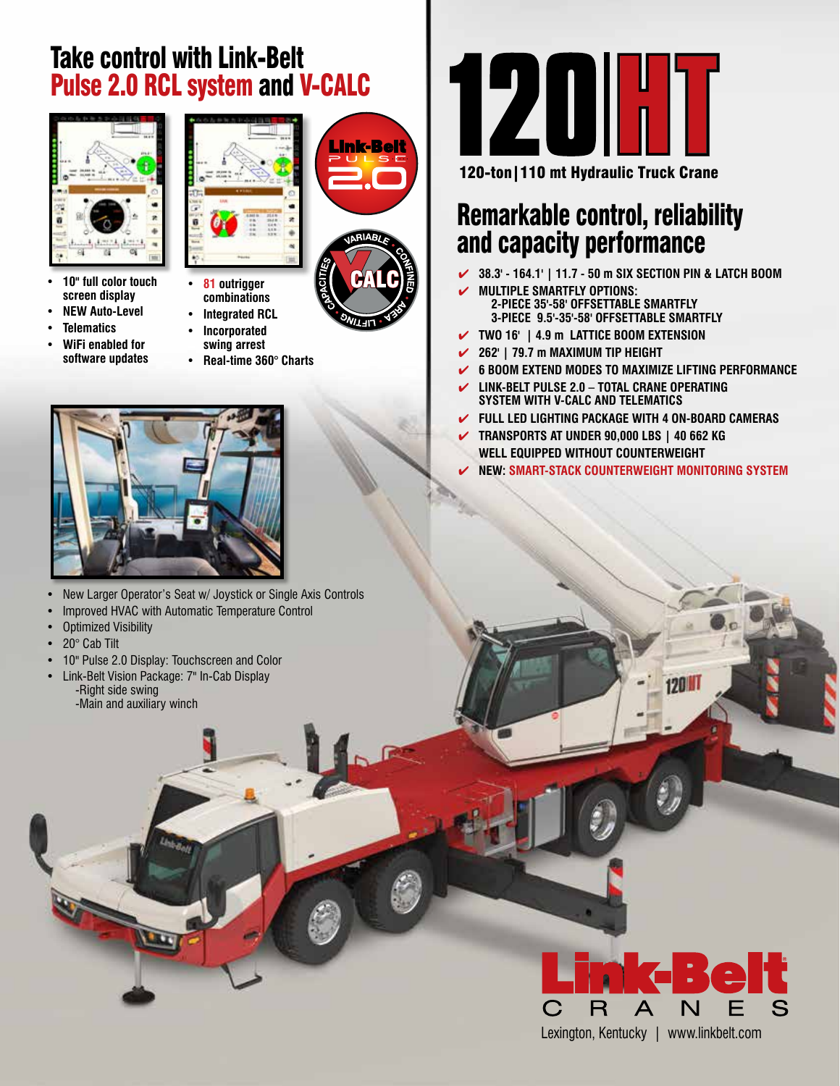## Take control with Link-Belt Pulse 2.0 RCL system and V-CALC



- **• 10" full color touch screen display**
- **• NEW Auto-Level • Telematics**
- 
- **• WiFi enabled for software updates**



<u> Link-Belt</u>

- **• 81 outrigger combinations**
- **• Integrated RCL**
- **• Incorporated** 
	- **swing arrest • Real-time 360° Charts**



- New Larger Operator's Seat w/ Joystick or Single Axis Controls
- Improved HVAC with Automatic Temperature Control
- Optimized Visibility
- 20° Cab Tilt
- 10" Pulse 2.0 Display: Touchscreen and Color
- Link-Belt Vision Package: 7" In-Cab Display -Right side swing -Main and auxiliary winch



120-ton|110 mt Hydraulic Truck Crane

## Remarkable control, reliability and capacity performance

- � **38.3' 164.1' | 11.7 50 m SIX SECTION PIN & LATCH BOOM**
- � **MULTIPLE SMARTFLY OPTIONS: 2-PIECE 35'-58' OFFSETTABLE SMARTFLY 3-PIECE 9.5'-35'-58' OFFSETTABLE SMARTFLY**
- � **TWO 16' | 4.9 m LATTICE BOOM EXTENSION**
- � **262' | 79.7 m MAXIMUM TIP HEIGHT**
- � **6 BOOM EXTEND MODES TO MAXIMIZE LIFTING PERFORMANCE**
- � **LINK-BELT PULSE 2.0 TOTAL CRANE OPERATING SYSTEM WITH V-CALC AND TELEMATICS**
- � **FULL LED LIGHTING PACKAGE WITH 4 ON-BOARD CAMERAS**
- � **TRANSPORTS AT UNDER 90,000 LBS | 40 662 KG WELL EQUIPPED WITHOUT COUNTERWEIGHT**
	- � **NEW: SMART-STACK COUNTERWEIGHT MONITORING SYSTEM**

**120 IT**